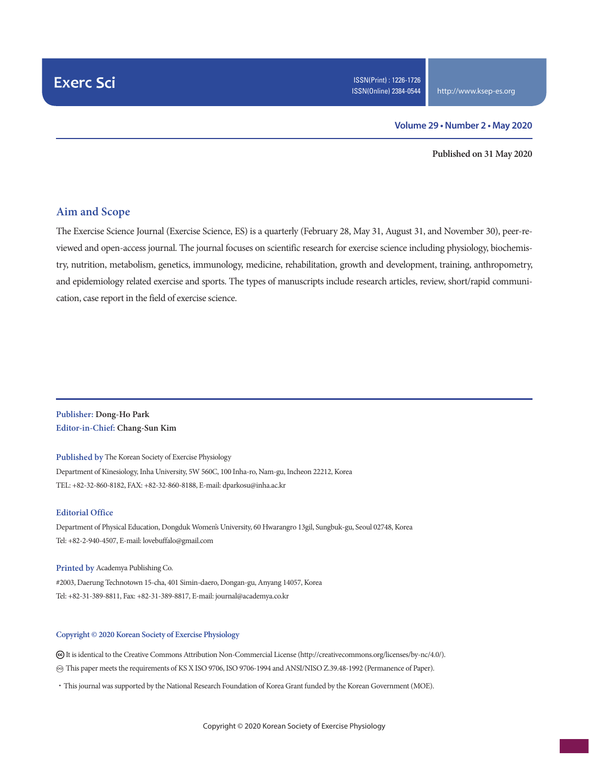#### **Volume 29 • Number 2 • May 2020**

**Published on 31 May 2020**

#### **Aim and Scope**

The Exercise Science Journal (Exercise Science, ES) is a quarterly (February 28, May 31, August 31, and November 30), peer-reviewed and open-access journal. The journal focuses on scientific research for exercise science including physiology, biochemistry, nutrition, metabolism, genetics, immunology, medicine, rehabilitation, growth and development, training, anthropometry, and epidemiology related exercise and sports. The types of manuscripts include research articles, review, short/rapid communication, case report in the field of exercise science.

#### **Publisher: Dong-Ho Park Editor-in-Chief: Chang-Sun Kim**

**Published by** The Korean Society of Exercise Physiology Department of Kinesiology, Inha University, 5W 560C, 100 Inha-ro, Nam-gu, Incheon 22212, Korea TEL: +82-32-860-8182, FAX: +82-32-860-8188, E-mail: dparkosu@inha.ac.kr

#### **Editorial Office**

Department of Physical Education, Dongduk Women's University, 60 Hwarangro 13gil, Sungbuk-gu, Seoul 02748, Korea Tel: +82-2-940-4507, E-mail: lovebuffalo@gmail.com

**Printed by** Academya Publishing Co. #2003, Daerung Technotown 15-cha, 401 Simin-daero, Dongan-gu, Anyang 14057, Korea Tel: +82-31-389-8811, Fax: +82-31-389-8817, E-mail: journal@academya.co.kr

#### **Copyright © 2020 Korean Society of Exercise Physiology**

 It is identical to the Creative Commons Attribution Non-Commercial License (http://creativecommons.org/licenses/by-nc/4.0/). ∞ This paper meets the requirements of KS X ISO 9706, ISO 9706-1994 and ANSI/NISO Z.39.48-1992 (Permanence of Paper).

·This journal was supported by the National Research Foundation of Korea Grant funded by the Korean Government (MOE).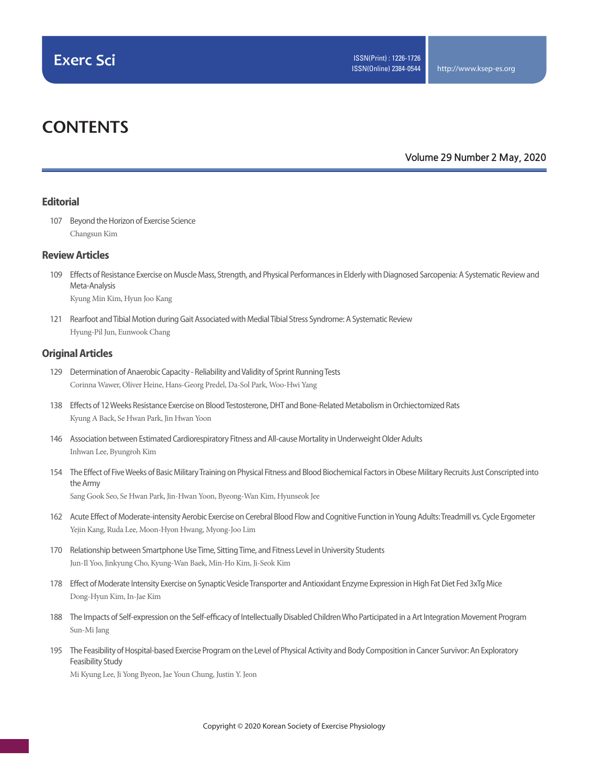# **CONTENTS**

#### **Volume 29 Number 2 May, 2020**

#### **Editorial**

107 Beyond the Horizon of Exercise Science Changsun Kim

#### **Review Articles**

- 109 Effects of Resistance Exercise on Muscle Mass, Strength, and Physical Performances in Elderly with Diagnosed Sarcopenia: A Systematic Review and Meta-Analysis Kyung Min Kim, Hyun Joo Kang
- 121 Rearfoot and Tibial Motion during Gait Associated with Medial Tibial Stress Syndrome: A Systematic Review Hyung-Pil Jun, Eunwook Chang

#### **Original Articles**

- 129 Determination of Anaerobic Capacity Reliability and Validity of Sprint Running Tests Corinna Wawer, Oliver Heine, Hans-Georg Predel, Da-Sol Park, Woo-Hwi Yang
- 138 Effects of 12 Weeks Resistance Exercise on Blood Testosterone, DHT and Bone-Related Metabolism in Orchiectomized Rats Kyung A Back, Se Hwan Park, Jin Hwan Yoon
- 146 Association between Estimated Cardiorespiratory Fitness and All-cause Mortality in Underweight Older Adults Inhwan Lee, Byungroh Kim
- 154 The Effect of Five Weeks of Basic Military Training on Physical Fitness and Blood Biochemical Factors in Obese Military Recruits Just Conscripted into the Army

Sang Gook Seo, Se Hwan Park, Jin-Hwan Yoon, Byeong-Wan Kim, Hyunseok Jee

- 162 Acute Effect of Moderate-intensity Aerobic Exercise on Cerebral Blood Flow and Cognitive Function in Young Adults: Treadmill vs. Cycle Ergometer Yejin Kang, Ruda Lee, Moon-Hyon Hwang, Myong-Joo Lim
- 170 Relationship between Smartphone Use Time, Sitting Time, and Fitness Level in University Students Jun-Il Yoo, Jinkyung Cho, Kyung-Wan Baek, Min-Ho Kim, Ji-Seok Kim
- 178 Effect of Moderate Intensity Exercise on Synaptic Vesicle Transporter and Antioxidant Enzyme Expression in High Fat Diet Fed 3xTg Mice Dong-Hyun Kim, In-Jae Kim
- 188 The Impacts of Self-expression on the Self-efficacy of Intellectually Disabled Children Who Participated in a Art Integration Movement Program Sun-Mi Jang
- 195 The Feasibility of Hospital-based Exercise Program on the Level of Physical Activity and Body Composition in Cancer Survivor: An Exploratory Feasibility Study

Mi Kyung Lee, Ji Yong Byeon, Jae Youn Chung, Justin Y. Jeon